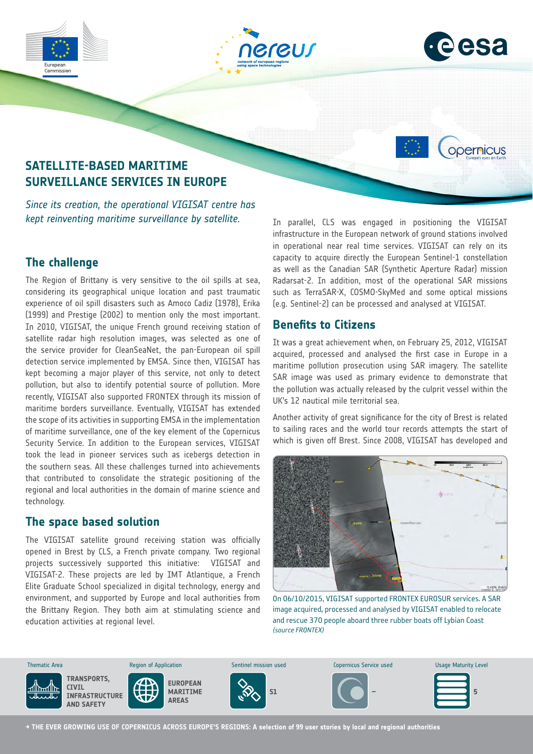

# **The challenge**

The Region of Brittany is very sensitive to the oil spills at sea, considering its geographical unique location and past traumatic experience of oil spill disasters such as Amoco Cadiz (1978), Erika (1999) and Prestige (2002) to mention only the most important. In 2010, VIGISAT, the unique French ground receiving station of satellite radar high resolution images, was selected as one of the service provider for CleanSeaNet, the pan-European oil spill detection service implemented by EMSA. Since then, VIGISAT has kept becoming a major player of this service, not only to detect pollution, but also to identify potential source of pollution. More recently, VIGISAT also supported FRONTEX through its mission of maritime borders surveillance. Eventually, VIGISAT has extended the scope of its activities in supporting EMSA in the implementation of maritime surveillance, one of the key element of the Copernicus Security Service. In addition to the European services, VIGISAT took the lead in pioneer services such as icebergs detection in the southern seas. All these challenges turned into achievements that contributed to consolidate the strategic positioning of the regional and local authorities in the domain of marine science and technology.

## **The space based solution**

The VIGISAT satellite ground receiving station was officially opened in Brest by CLS, a French private company. Two regional projects successively supported this initiative: VIGISAT and VIGISAT-2. These projects are led by IMT Atlantique, a French Elite Graduate School specialized in digital technology, energy and environment, and supported by Europe and local authorities from the Brittany Region. They both aim at stimulating science and education activities at regional level.

capacity to acquire directly the European Sentinel-1 constellation as well as the Canadian SAR (Synthetic Aperture Radar) mission Radarsat-2. In addition, most of the operational SAR missions such as TerraSAR-X, COSMO-SkyMed and some optical missions (e.g. Sentinel-2) can be processed and analysed at VIGISAT.

# **Benefits to Citizens**

It was a great achievement when, on February 25, 2012, VIGISAT acquired, processed and analysed the first case in Europe in a maritime pollution prosecution using SAR imagery. The satellite SAR image was used as primary evidence to demonstrate that the pollution was actually released by the culprit vessel within the UK's 12 nautical mile territorial sea.

Another activity of great significance for the city of Brest is related to sailing races and the world tour records attempts the start of which is given off Brest. Since 2008, VIGISAT has developed and



On 06/10/2015, VIGISAT supported FRONTEX EUROSUR services. A SAR image acquired, processed and analysed by VIGISAT enabled to relocate and rescue 370 people aboard three rubber boats off Lybian Coast *(source FRONTEX)* 



**→ THE EVER GROWING USE OF COPERNICUS ACROSS EUROPE'S REGIONS: A selection of 99 user stories by local and regional authorities**